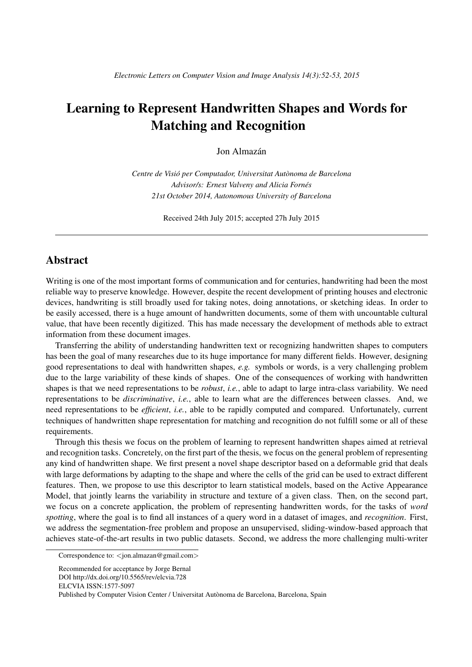# Learning to Represent Handwritten Shapes and Words for Matching and Recognition

Jon Almazán

*Centre de Visio per Computador, Universitat Aut ´ onoma de Barcelona ` Advisor/s: Ernest Valveny and Alicia Fornes´ 21st October 2014, Autonomous University of Barcelona*

Received 24th July 2015; accepted 27h July 2015

## Abstract

Writing is one of the most important forms of communication and for centuries, handwriting had been the most reliable way to preserve knowledge. However, despite the recent development of printing houses and electronic devices, handwriting is still broadly used for taking notes, doing annotations, or sketching ideas. In order to be easily accessed, there is a huge amount of handwritten documents, some of them with uncountable cultural value, that have been recently digitized. This has made necessary the development of methods able to extract information from these document images.

Transferring the ability of understanding handwritten text or recognizing handwritten shapes to computers has been the goal of many researches due to its huge importance for many different fields. However, designing good representations to deal with handwritten shapes, *e.g.* symbols or words, is a very challenging problem due to the large variability of these kinds of shapes. One of the consequences of working with handwritten shapes is that we need representations to be *robust*, *i.e.*, able to adapt to large intra-class variability. We need representations to be *discriminative*, *i.e.*, able to learn what are the differences between classes. And, we need representations to be *efficient*, *i.e.*, able to be rapidly computed and compared. Unfortunately, current techniques of handwritten shape representation for matching and recognition do not fulfill some or all of these requirements.

Through this thesis we focus on the problem of learning to represent handwritten shapes aimed at retrieval and recognition tasks. Concretely, on the first part of the thesis, we focus on the general problem of representing any kind of handwritten shape. We first present a novel shape descriptor based on a deformable grid that deals with large deformations by adapting to the shape and where the cells of the grid can be used to extract different features. Then, we propose to use this descriptor to learn statistical models, based on the Active Appearance Model, that jointly learns the variability in structure and texture of a given class. Then, on the second part, we focus on a concrete application, the problem of representing handwritten words, for the tasks of *word spotting*, where the goal is to find all instances of a query word in a dataset of images, and *recognition*. First, we address the segmentation-free problem and propose an unsupervised, sliding-window-based approach that achieves state-of-the-art results in two public datasets. Second, we address the more challenging multi-writer

Correspondence to: <jon.almazan@gmail.com>

Recommended for acceptance by Jorge Bernal DOI http://dx.doi.org/10.5565/rev/elcvia.728 ELCVIA ISSN:1577-5097 Published by Computer Vision Center / Universitat Autònoma de Barcelona, Barcelona, Spain